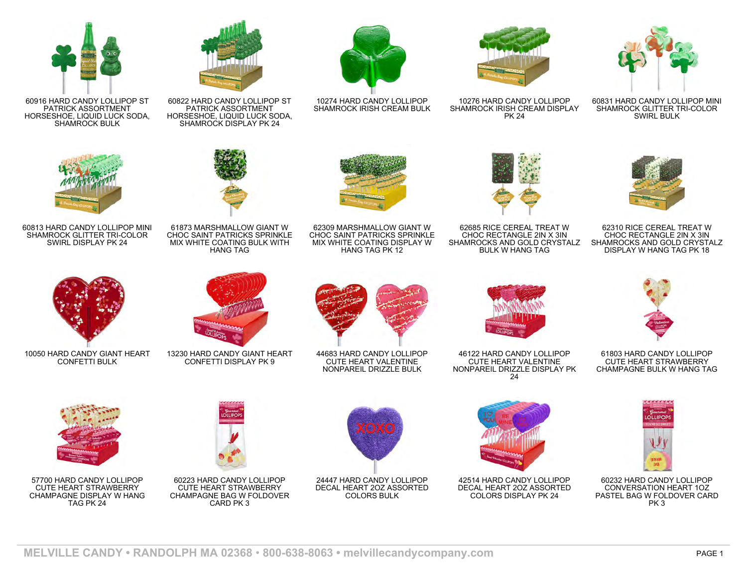

60831 HARD CANDY LOLLIPOP MINI SHAMROCK GLITTER TRI-COLOR SWIRL BULK



10276 HARD CANDY LOLLIPOP SHAMROCK IRISH CREAM DISPLAY PK 24



10274 HARD CANDY LOLLIPOP SHAMROCK IRISH CREAM BULK



60822 HARD CANDY LOLLIPOP ST PATRICK ASSORTMENT HORSESHOE, LIQUID LUCK SODA, SHAMROCK DISPLAY PK 24



60916 HARD CANDY LOLLIPOP ST PATRICK ASSORTMENT HORSESHOE, LIQUID LUCK SODA, SHAMROCK BULK

60813 HARD CANDY LOLLIPOP MINI SHAMROCK GLITTER TRI-COLOR SWIRL DISPLAY PK 24



62685 RICE CEREAL TREAT W CHOC RECTANGLE 2IN X 3IN SHAMROCKS AND GOLD CRYSTALZ BULK W HANG TAG



62310 RICE CEREAL TREAT W CHOC RECTANGLE 2IN X 3IN SHAMROCKS AND GOLD CRYSTALZ DISPLAY W HANG TAG PK 18







61803 HARD CANDY LOLLIPOP CUTE HEART STRAWBERRY CHAMPAGNE BULK W HANG TAG



60232 HARD CANDY LOLLIPOP CONVERSATION HEART 1OZ PASTEL BAG W FOLDOVER CARD PK 3



46122 HARD CANDY LOLLIPOP CUTE HEART VALENTINE NONPAREIL DRIZZLE DISPLAY PK 24



CHOC SAINT PATRICKS SPRINKLE MIX WHITE COATING DISPLAY W HANG TAG PK 12

CUTE HEART VALENTINE NONPAREIL DRIZZLE BULK

24447 HARD CANDY LOLLIPOP DECAL HEART 2OZ ASSORTED COLORS BULK







CHOC SAINT PATRICKS SPRINKLE



MIX WHITE COATING BULK WITH HANG TAG







61873 MARSHMALLOW GIANT W





10050 HARD CANDY GIANT HEART CONFETTI BULK

57700 HARD CANDY LOLLIPOP CUTE HEART STRAWBERRY CHAMPAGNE DISPLAY W HANG TAG PK 24



13230 HARD CANDY GIANT HEART CONFETTI DISPLAY PK 9



44683 HARD CANDY LOLLIPOP





60223 HARD CANDY LOLLIPOP CUTE HEART STRAWBERRY CHAMPAGNE BAG W FOLDOVER CARD PK 3





**MELVILLE CANDY • RANDOLPH MA 02368** • **800-638-8063 • melvillecandycompany.com** PAGE 1









COLORS DISPLAY PK 24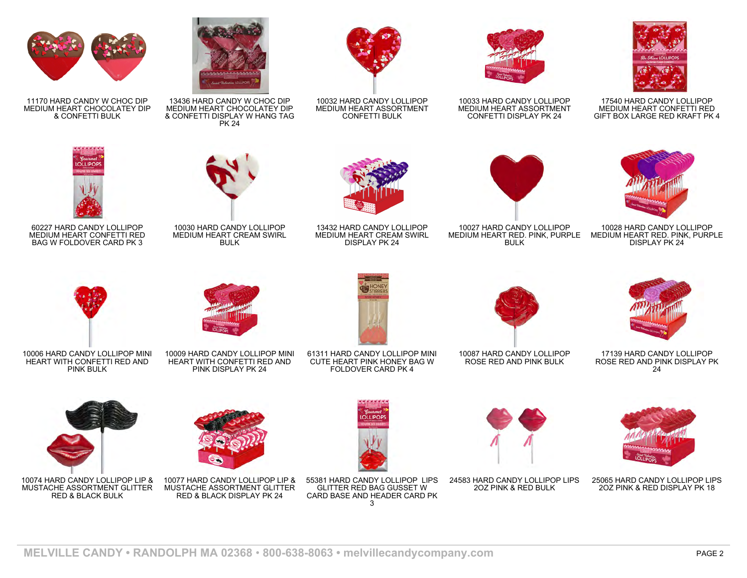

17540 HARD CANDY LOLLIPOP MEDIUM HEART CONFETTI RED GIFT BOX LARGE RED KRAFT PK 4



MEDIUM HEART RED. PINK, PURPLE MEDIUM HEART RED. PINK, PURPLE 10028 HARD CANDY LOLLIPOP DISPLAY PK 24



10033 HARD CANDY LOLLIPOP MEDIUM HEART ASSORTMENT CONFETTI DISPLAY PK 24



10032 HARD CANDY LOLLIPOP MEDIUM HEART ASSORTMENT CONFETTI BULK



MEDIUM HEART CHOCOLATEY DIP & CONFETTI DISPLAY W HANG TAG



13436 HARD CANDY W CHOC DIP



PK 24



10030 HARD CANDY LOLLIPOP MEDIUM HEART CREAM SWIRL BULK



13432 HARD CANDY LOLLIPOP MEDIUM HEART CREAM SWIRL DISPLAY PK 24

61311 HARD CANDY LOLLIPOP MINI CUTE HEART PINK HONEY BAG W FOLDOVER CARD PK 4



10027 HARD CANDY LOLLIPOP BULK





17139 HARD CANDY LOLLIPOP ROSE RED AND PINK DISPLAY PK 24



10087 HARD CANDY LOLLIPOP ROSE RED AND PINK BULK



25065 HARD CANDY LOLLIPOP LIPS 2OZ PINK & RED DISPLAY PK 18



10006 HARD CANDY LOLLIPOP MINI HEART WITH CONFETTI RED AND PINK BULK

11170 HARD CANDY W CHOC DIP MEDIUM HEART CHOCOLATEY DIP & CONFETTI BULK

60227 HARD CANDY LOLLIPOP MEDIUM HEART CONFETTI RED BAG W FOLDOVER CARD PK 3



10074 HARD CANDY LOLLIPOP LIP & MUSTACHE ASSORTMENT GLITTER RED & BLACK BULK



HEART WITH CONFETTI RED AND PINK DISPLAY PK 24

10077 HARD CANDY LOLLIPOP LIP & MUSTACHE ASSORTMENT GLITTER RED & BLACK DISPLAY PK 24



55381 HARD CANDY LOLLIPOP LIPS GLITTER RED BAG GUSSET W CARD BASE AND HEADER CARD PK 3



24583 HARD CANDY LOLLIPOP LIPS 2OZ PINK & RED BULK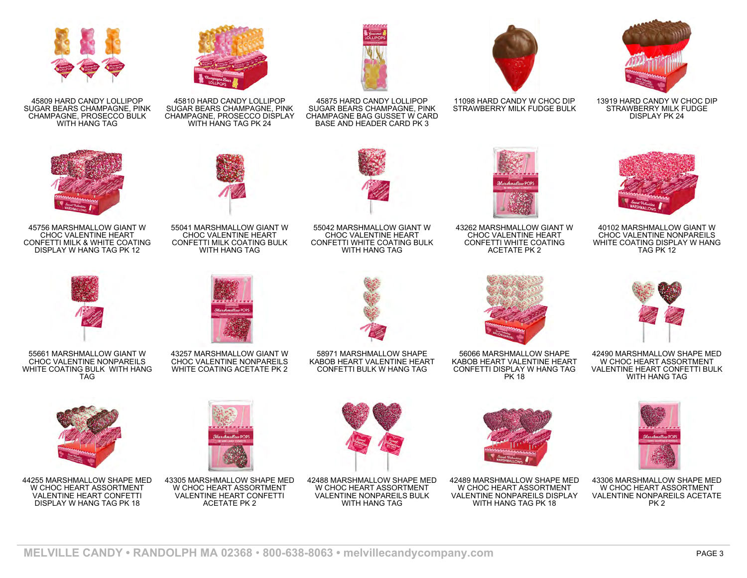

45809 HARD CANDY LOLLIPOP SUGAR BEARS CHAMPAGNE, PINK CHAMPAGNE, PROSECCO BULK WITH HANG TAG



45810 HARD CANDY LOLLIPOP SUGAR BEARS CHAMPAGNE, PINK CHAMPAGNE, PROSECCO DISPLAY WITH HANG TAG PK 24



45875 HARD CANDY LOLLIPOP SUGAR BEARS CHAMPAGNE, PINK CHAMPAGNE BAG GUSSET W CARD BASE AND HEADER CARD PK 3



11098 HARD CANDY W CHOC DIP STRAWBERRY MILK FUDGE BULK



13919 HARD CANDY W CHOC DIP STRAWBERRY MILK FUDGE DISPLAY PK 24



45756 MARSHMALLOW GIANT W CHOC VALENTINE HEART CONFETTI MILK & WHITE COATING DISPLAY W HANG TAG PK 12



55041 MARSHMALLOW GIANT W CHOC VALENTINE HEART CONFETTI MILK COATING BULK WITH HANG TAG



55042 MARSHMALLOW GIANT W CHOC VALENTINE HEART CONFETTI WHITE COATING BULK WITH HANG TAG



43262 MARSHMALLOW GIANT W CHOC VALENTINE HEART CONFETTI WHITE COATING ACETATE PK 2



40102 MARSHMALLOW GIANT W CHOC VALENTINE NONPAREILS WHITE COATING DISPLAY W HANG TAG PK 12



55661 MARSHMALLOW GIANT W CHOC VALENTINE NONPAREILS WHITE COATING BULK WITH HANG TAG



43257 MARSHMALLOW GIANT W CHOC VALENTINE NONPAREILS WHITE COATING ACETATE PK 2



58971 MARSHMALLOW SHAPE KABOB HEART VALENTINE HEART CONFETTI BULK W HANG TAG



56066 MARSHMALLOW SHAPE KABOB HEART VALENTINE HEART CONFETTI DISPLAY W HANG TAG PK 18



42490 MARSHMALLOW SHAPE MED W CHOC HEART ASSORTMENT VALENTINE HEART CONFETTI BULK WITH HANG TAG



44255 MARSHMALLOW SHAPE MED W CHOC HEART ASSORTMENT VALENTINE HEART CONFETTI DISPLAY W HANG TAG PK 18



43305 MARSHMALLOW SHAPE MED W CHOC HEART ASSORTMENT VALENTINE HEART CONFETTI ACETATE PK 2



42488 MARSHMALLOW SHAPE MED W CHOC HEART ASSORTMENT VALENTINE NONPAREILS BULK WITH HANG TAG



42489 MARSHMALLOW SHAPE MED W CHOC HEART ASSORTMENT VALENTINE NONPAREILS DISPLAY WITH HANG TAG PK 18



43306 MARSHMALLOW SHAPE MED W CHOC HEART ASSORTMENT VALENTINE NONPAREILS ACETATE PK 2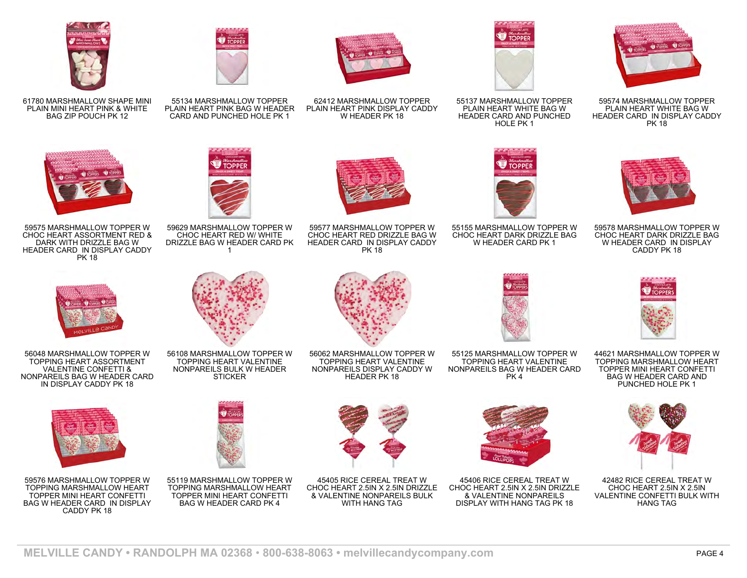





59575 MARSHMALLOW TOPPER W CHOC HEART ASSORTMENT RED & DARK WITH DRIZZLE BAG W HEADER CARD IN DISPLAY CADDY PK 18



56048 MARSHMALLOW TOPPER W TOPPING HEART ASSORTMENT VALENTINE CONFETTI & NONPAREILS BAG W HEADER CARD IN DISPLAY CADDY PK 18



59576 MARSHMALLOW TOPPER W TOPPING MARSHMALLOW HEART TOPPER MINI HEART CONFETTI BAG W HEADER CARD IN DISPLAY CADDY PK 18



PLAIN HEART PINK BAG W HEADER CARD AND PUNCHED HOLE PK 1



55134 MARSHMALLOW TOPPER



62412 MARSHMALLOW TOPPER PLAIN HEART PINK DISPLAY CADDY





59629 MARSHMALLOW TOPPER W CHOC HEART RED W/ WHITE DRIZZLE BAG W HEADER CARD PK 1



W HEADER PK 18

59577 MARSHMALLOW TOPPER W CHOC HEART RED DRIZZLE BAG W HEADER CARD IN DISPLAY CADDY PK 18



55137 MARSHMALLOW TOPPER PLAIN HEART WHITE BAG W HEADER CARD AND PUNCHED HOLE PK 1



59574 MARSHMALLOW TOPPER PLAIN HEART WHITE BAG W HEADER CARD IN DISPLAY CADDY PK 18



55155 MARSHMALLOW TOPPER W CHOC HEART DARK DRIZZLE BAG W HEADER CARD PK 1



59578 MARSHMALLOW TOPPER W CHOC HEART DARK DRIZZLE BAG W HEADER CARD IN DISPLAY CADDY PK 18



56062 MARSHMALLOW TOPPER W TOPPING HEART VALENTINE NONPAREILS DISPLAY CADDY W HEADER PK 18



55125 MARSHMALLOW TOPPER W TOPPING HEART VALENTINE NONPAREILS BAG W HEADER CARD PK 4

45406 RICE CEREAL TREAT W CHOC HEART 2.5IN X 2.5IN DRIZZLE & VALENTINE NONPAREILS DISPLAY WITH HANG TAG PK 18



44621 MARSHMALLOW TOPPER W TOPPING MARSHMALLOW HEART TOPPER MINI HEART CONFETTI BAG W HEADER CARD AND PUNCHED HOLE PK 1



42482 RICE CEREAL TREAT W CHOC HEART 2.5IN X 2.5IN VALENTINE CONFETTI BULK WITH HANG TAG



45405 RICE CEREAL TREAT W CHOC HEART 2.5IN X 2.5IN DRIZZLE & VALENTINE NONPAREILS BULK WITH HANG TAG



MELVILLE CANDY • RANDOLPH MA 02368 • 800-638-8063 • melvillecandycompany.com PAGE 4

56108 MARSHMALLOW TOPPER W TOPPING HEART VALENTINE NONPAREILS BULK W HEADER **STICKER** 



55119 MARSHMALLOW TOPPER W TOPPING MARSHMALLOW HEART

TOPPER MINI HEART CONFETTI BAG W HEADER CARD PK 4